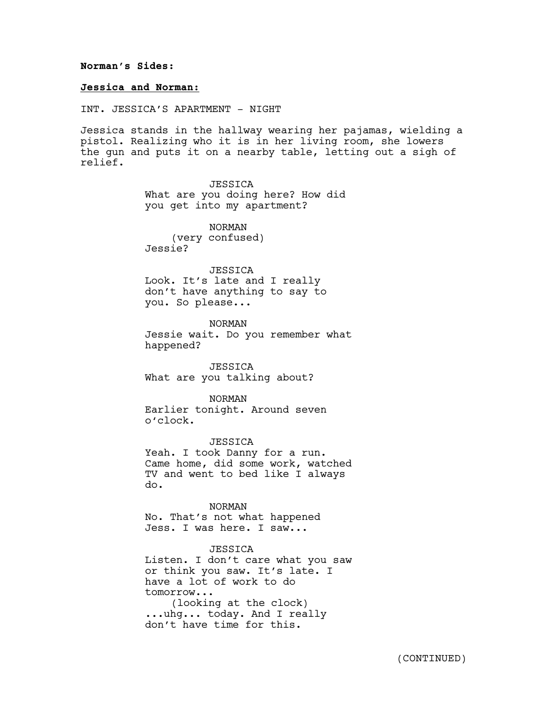## **Norman's Sides:**

## **Jessica and Norman:**

INT. JESSICA'S APARTMENT - NIGHT

Jessica stands in the hallway wearing her pajamas, wielding a pistol. Realizing who it is in her living room, she lowers the gun and puts it on a nearby table, letting out a sigh of relief.

> **JESSICA** What are you doing here? How did you get into my apartment?

NORMAN (very confused) Jessie?

**JESSICA** Look. It's late and I really don't have anything to say to you. So please...

NORMAN Jessie wait. Do you remember what happened?

**JESSICA** What are you talking about?

NORMAN Earlier tonight. Around seven o'clock.

JESSICA Yeah. I took Danny for a run. Came home, did some work, watched TV and went to bed like I always do.

NORMAN No. That's not what happened Jess. I was here. I saw...

JESSICA Listen. I don't care what you saw or think you saw. It's late. I have a lot of work to do tomorrow... (looking at the clock) ...uhg... today. And I really don't have time for this.